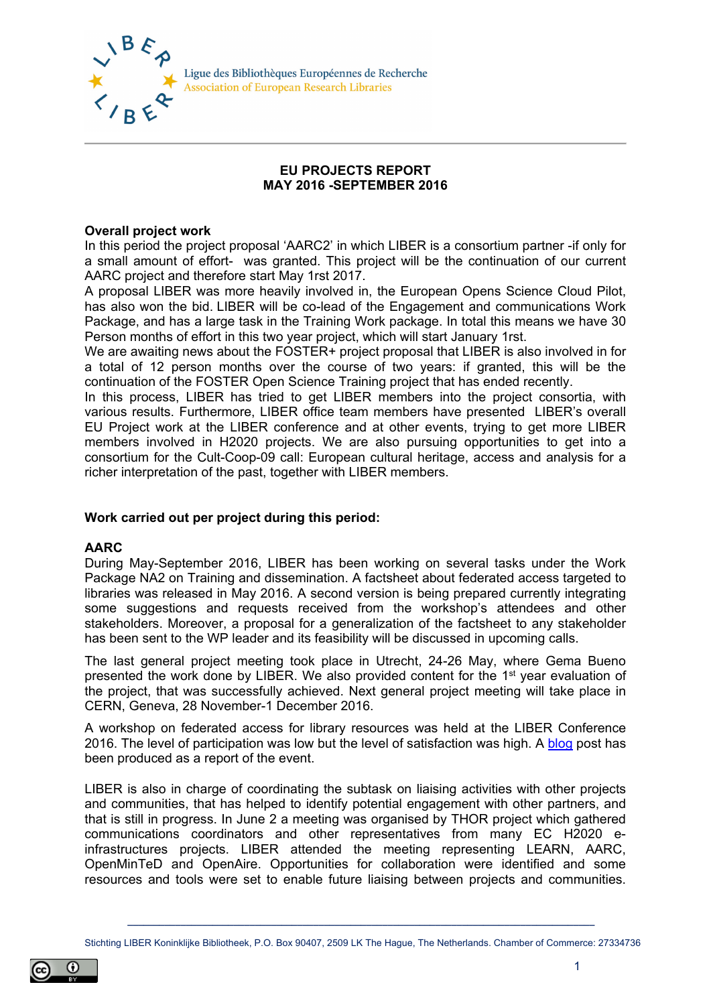

Ligue des Bibliothèques Européennes de Recherche **Association of European Research Libraries** 

## **EU PROJECTS REPORT MAY 2016 -SEPTEMBER 2016**

## **Overall project work**

In this period the project proposal 'AARC2' in which LIBER is a consortium partner -if only for a small amount of effort- was granted. This project will be the continuation of our current AARC project and therefore start May 1rst 2017.

A proposal LIBER was more heavily involved in, the European Opens Science Cloud Pilot, has also won the bid. LIBER will be co-lead of the Engagement and communications Work Package, and has a large task in the Training Work package. In total this means we have 30 Person months of effort in this two year project, which will start January 1rst.

We are awaiting news about the FOSTER+ project proposal that LIBER is also involved in for a total of 12 person months over the course of two years: if granted, this will be the continuation of the FOSTER Open Science Training project that has ended recently.

In this process, LIBER has tried to get LIBER members into the project consortia, with various results. Furthermore, LIBER office team members have presented LIBER's overall EU Project work at the LIBER conference and at other events, trying to get more LIBER members involved in H2020 projects. We are also pursuing opportunities to get into a consortium for the Cult-Coop-09 call: European cultural heritage, access and analysis for a richer interpretation of the past, together with LIBER members.

## **Work carried out per project during this period:**

## **AARC**

During May-September 2016, LIBER has been working on several tasks under the Work Package NA2 on Training and dissemination. A factsheet about federated access targeted to libraries was released in May 2016. A second version is being prepared currently integrating some suggestions and requests received from the workshop's attendees and other stakeholders. Moreover, a proposal for a generalization of the factsheet to any stakeholder has been sent to the WP leader and its feasibility will be discussed in upcoming calls.

The last general project meeting took place in Utrecht, 24-26 May, where Gema Bueno presented the work done by LIBER. We also provided content for the 1st year evaluation of the project, that was successfully achieved. Next general project meeting will take place in CERN, Geneva, 28 November-1 December 2016.

A workshop on federated access for library resources was held at the LIBER Conference 2016. The level of participation was low but the level of satisfaction was high. A [blog](https://aarc-project.eu/federate-to-win-an-aarc-workshop-at-the-liber-annual-conference-2016) post has been produced as a report of the event.

LIBER is also in charge of coordinating the subtask on liaising activities with other projects and communities, that has helped to identify potential engagement with other partners, and that is still in progress. In June 2 a meeting was organised by THOR project which gathered communications coordinators and other representatives from many EC H2020 einfrastructures projects. LIBER attended the meeting representing LEARN, AARC, OpenMinTeD and OpenAire. Opportunities for collaboration were identified and some resources and tools were set to enable future liaising between projects and communities.

**\_\_\_\_\_\_\_\_\_\_\_\_\_\_\_\_\_\_\_\_\_\_\_\_\_\_\_\_\_\_\_\_\_\_\_\_\_\_\_\_\_\_\_\_\_\_\_\_\_\_\_\_\_\_\_\_\_\_\_\_\_\_\_\_\_\_\_\_\_\_\_\_\_\_\_\_\_\_\_\_\_\_\_\_\_\_\_\_** Stichting LIBER Koninklijke Bibliotheek, P.O. Box 90407, 2509 LK The Hague, The Netherlands. Chamber of Commerce: 27334736

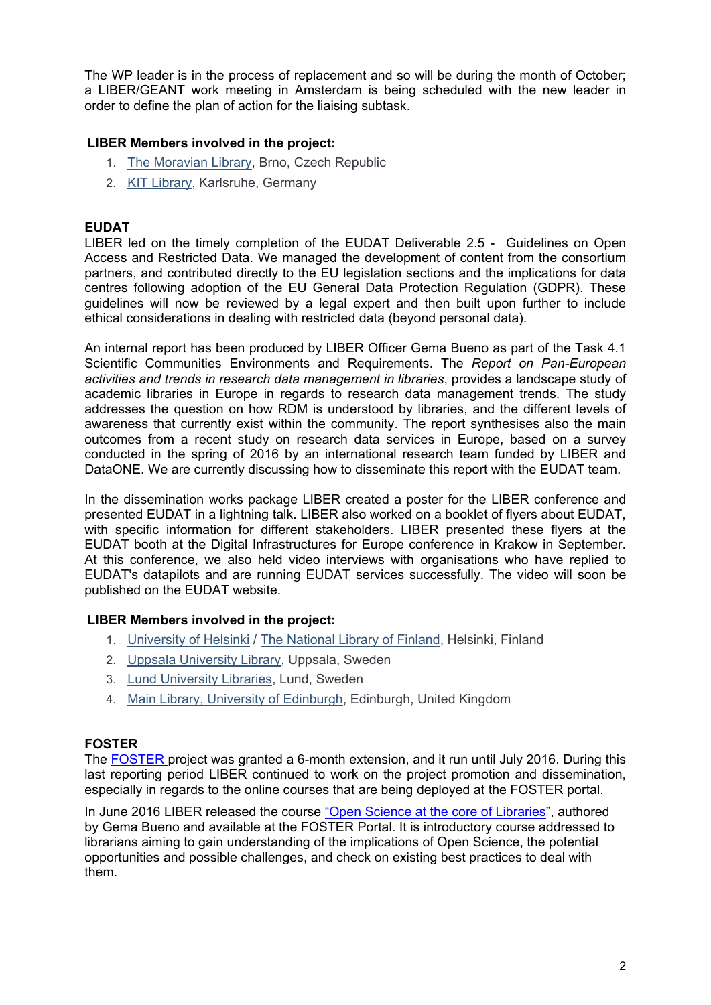The WP leader is in the process of replacement and so will be during the month of October; a LIBER/GEANT work meeting in Amsterdam is being scheduled with the new leader in order to define the plan of action for the liaising subtask.

# **LIBER Members involved in the project:**

- 1. [The Moravian Library,](https://www.mzk.cz/en) Brno, Czech Republic
- 2. [KIT Library,](http://www.bibliothek.kit.edu/cms/english/) Karlsruhe, Germany

## **EUDAT**

LIBER led on the timely completion of the EUDAT Deliverable 2.5 - Guidelines on Open Access and Restricted Data. We managed the development of content from the consortium partners, and contributed directly to the EU legislation sections and the implications for data centres following adoption of the EU General Data Protection Regulation (GDPR). These guidelines will now be reviewed by a legal expert and then built upon further to include ethical considerations in dealing with restricted data (beyond personal data).

An internal report has been produced by LIBER Officer Gema Bueno as part of the Task 4.1 Scientific Communities Environments and Requirements. The *Report on Pan-European activities and trends in research data management in libraries*, provides a landscape study of academic libraries in Europe in regards to research data management trends. The study addresses the question on how RDM is understood by libraries, and the different levels of awareness that currently exist within the community. The report synthesises also the main outcomes from a recent study on research data services in Europe, based on a survey conducted in the spring of 2016 by an international research team funded by LIBER and DataONE. We are currently discussing how to disseminate this report with the EUDAT team.

In the dissemination works package LIBER created a poster for the LIBER conference and presented EUDAT in a lightning talk. LIBER also worked on a booklet of flyers about EUDAT, with specific information for different stakeholders. LIBER presented these flyers at the EUDAT booth at the Digital Infrastructures for Europe conference in Krakow in September. At this conference, we also held video interviews with organisations who have replied to EUDAT's datapilots and are running EUDAT services successfully. The video will soon be published on the EUDAT website.

## **LIBER Members involved in the project:**

- 1. [University of Helsinki](https://www.helsinki.fi/en) / [The National Library of Finland,](http://www.nationallibrary.fi/) Helsinki, Finland
- 2. [Uppsala University Library,](http://www.uu.se/) Uppsala, Sweden
- 3. [Lund University Libraries,](http://www.lub.lu.se/en/lund-university-libraries) Lund, Sweden
- 4. [Main Library, University of Edinburgh,](http://www.ed.ac.uk/information-services/library-museum-gallery) Edinburgh, United Kingdom

## **FOSTER**

The [FOSTER](https://www.fosteropenscience.eu/) project was granted a 6-month extension, and it run until July 2016. During this last reporting period LIBER continued to work on the project promotion and dissemination, especially in regards to the online courses that are being deployed at the FOSTER portal.

In June 2016 LIBER released the course ["Open Science at the core of Libraries"](https://www.fosteropenscience.eu/content/open-science-core-libraries), authored by Gema Bueno and available at the FOSTER Portal. It is introductory course addressed to librarians aiming to gain understanding of the implications of Open Science, the potential opportunities and possible challenges, and check on existing best practices to deal with them.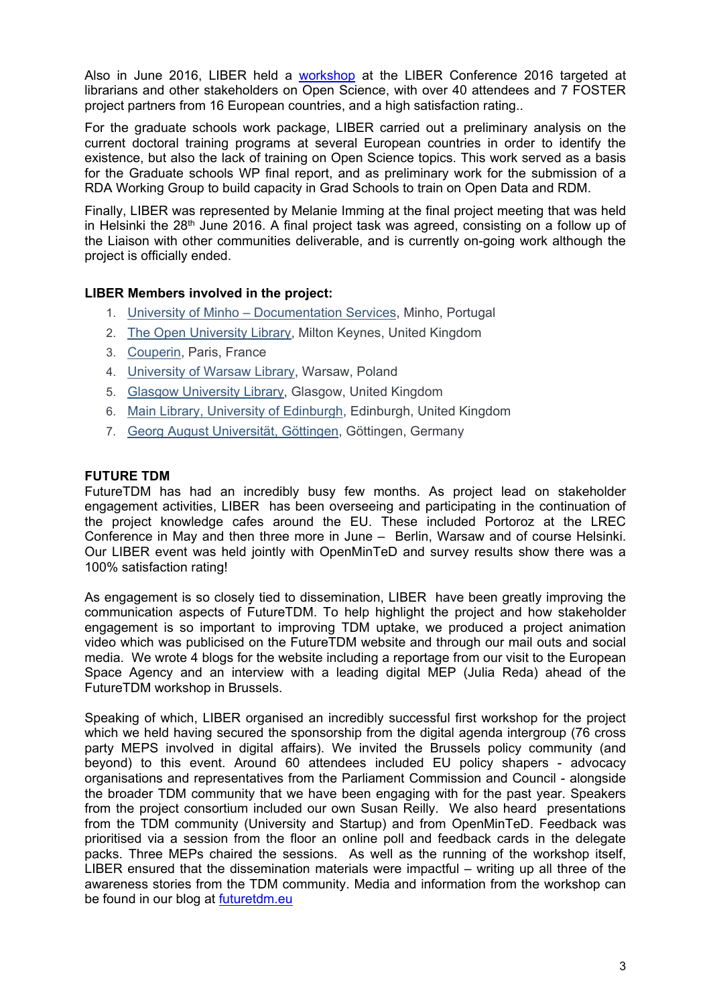Also in June 2016, LIBER held a [workshop](https://www.fosteropenscience.eu/event/foster-workshop-liber-2016-open-science-core-libraries) at the LIBER Conference 2016 targeted at librarians and other stakeholders on Open Science, with over 40 attendees and 7 FOSTER project partners from 16 European countries, and a high satisfaction rating..

For the graduate schools work package, LIBER carried out a preliminary analysis on the current doctoral training programs at several European countries in order to identify the existence, but also the lack of training on Open Science topics. This work served as a basis for the Graduate schools WP final report, and as preliminary work for the submission of a RDA Working Group to build capacity in Grad Schools to train on Open Data and RDM.

Finally, LIBER was represented by Melanie Imming at the final project meeting that was held in Helsinki the  $28<sup>th</sup>$  June 2016. A final project task was agreed, consisting on a follow up of the Liaison with other communities deliverable, and is currently on-going work although the project is officially ended.

## **LIBER Members involved in the project:**

- 1. University of Minho [Documentation Services,](http://www.sdum.uminho.pt/) Minho, Portugal
- 2. [The Open University Library,](http://www.open.ac.uk/) Milton Keynes, United Kingdom
- 3. [Couperin,](http://www.couperin.org/) Paris, France
- 4. [University of Warsaw Library,](http://www.buw.uw.edu.pl/en/) Warsaw, Poland
- 5. [Glasgow University Library,](http://www.gla.ac.uk/services/library/) Glasgow, United Kingdom
- 6. [Main Library, University of Edinburgh,](http://www.ed.ac.uk/information-services/library-museum-gallery) Edinburgh, United Kingdom
- 7. [Georg August Universität, Göttingen,](http://www.uni-goettingen.de/) Göttingen, Germany

## **FUTURE TDM**

FutureTDM has had an incredibly busy few months. As project lead on stakeholder engagement activities, LIBER has been overseeing and participating in the continuation of the project knowledge cafes around the EU. These included Portoroz at the LREC Conference in May and then three more in June – Berlin, Warsaw and of course Helsinki. Our LIBER event was held jointly with OpenMinTeD and survey results show there was a 100% satisfaction rating!

As engagement is so closely tied to dissemination, LIBER have been greatly improving the communication aspects of FutureTDM. To help highlight the project and how stakeholder engagement is so important to improving TDM uptake, we produced a project animation video which was publicised on the FutureTDM website and through our mail outs and social media. We wrote 4 blogs for the website including a reportage from our visit to the European Space Agency and an interview with a leading digital MEP (Julia Reda) ahead of the FutureTDM workshop in Brussels.

Speaking of which, LIBER organised an incredibly successful first workshop for the project which we held having secured the sponsorship from the digital agenda intergroup (76 cross party MEPS involved in digital affairs). We invited the Brussels policy community (and beyond) to this event. Around 60 attendees included EU policy shapers - advocacy organisations and representatives from the Parliament Commission and Council - alongside the broader TDM community that we have been engaging with for the past year. Speakers from the project consortium included our own Susan Reilly. We also heard presentations from the TDM community (University and Startup) and from OpenMinTeD. Feedback was prioritised via a session from the floor an online poll and feedback cards in the delegate packs. Three MEPs chaired the sessions. As well as the running of the workshop itself, LIBER ensured that the dissemination materials were impactful – writing up all three of the awareness stories from the TDM community. Media and information from the workshop can be found in our blog at [futuretdm.eu](http://www.futuretdm.eu/)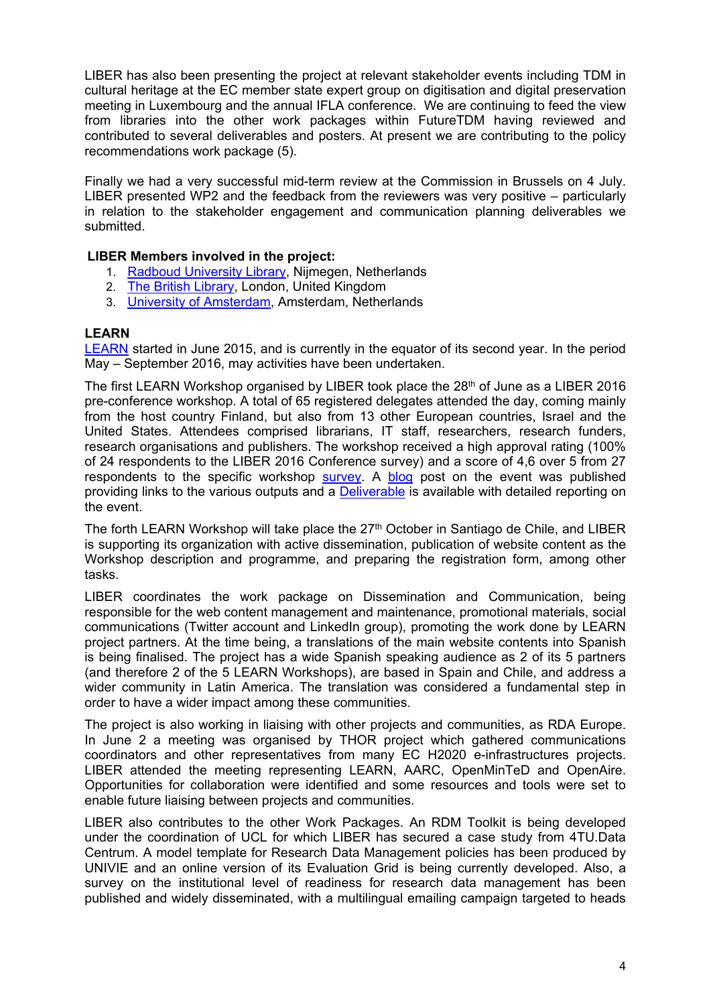LIBER has also been presenting the project at relevant stakeholder events including TDM in cultural heritage at the EC member state expert group on digitisation and digital preservation meeting in Luxembourg and the annual IFLA conference. We are continuing to feed the view from libraries into the other work packages within FutureTDM having reviewed and contributed to several deliverables and posters. At present we are contributing to the policy recommendations work package (5).

Finally we had a very successful mid-term review at the Commission in Brussels on 4 July. LIBER presented WP2 and the feedback from the reviewers was very positive – particularly in relation to the stakeholder engagement and communication planning deliverables we submitted.

## **LIBER Members involved in the project:**

- 1. [Radboud University Library,](http://www.ru.nl/ubn/) Nijmegen, Netherlands
- 2. [The British Library,](http://www.bl.uk/) London, United Kingdom
- 3. [University of Amsterdam,](http://www.uva.nl/en/home) Amsterdam, Netherlands

## **LEARN**

[LEARN](http://learn-rdm.eu/) started in June 2015, and is currently in the equator of its second year. In the period May – September 2016, may activities have been undertaken.

The first LEARN Workshop organised by LIBER took place the 28<sup>th</sup> of June as a LIBER 2016 pre-conference workshop. A total of 65 registered delegates attended the day, coming mainly from the host country Finland, but also from 13 other European countries, Israel and the United States. Attendees comprised librarians, IT staff, researchers, research funders, research organisations and publishers. The workshop received a high approval rating (100% of 24 respondents to the LIBER 2016 Conference survey) and a score of 4,6 over 5 from 27 respondents to the specific workshop [survey.](http://learn-rdm.eu/en/workshops/3rd-workshop/evaluation) A [blog](http://learn-rdm.eu/en/3rd-learn-workshop-took-place-in-helsinki-28th-june/) post on the event was published providing links to the various outputs and a [Deliverable](http://learn-rdm.eu/wp-content/uploads/LEARN_D1-3_2016-09-30_v1.0_final.pdf) is available with detailed reporting on the event.

The forth LEARN Workshop will take place the 27<sup>th</sup> October in Santiago de Chile, and LIBER is supporting its organization with active dissemination, publication of website content as the Workshop description and programme, and preparing the registration form, among other tasks.

LIBER coordinates the work package on Dissemination and Communication, being responsible for the web content management and maintenance, promotional materials, social communications (Twitter account and LinkedIn group), promoting the work done by LEARN project partners. At the time being, a translations of the main website contents into Spanish is being finalised. The project has a wide Spanish speaking audience as 2 of its 5 partners (and therefore 2 of the 5 LEARN Workshops), are based in Spain and Chile, and address a wider community in Latin America. The translation was considered a fundamental step in order to have a wider impact among these communities.

The project is also working in liaising with other projects and communities, as RDA Europe. In June 2 a meeting was organised by THOR project which gathered communications coordinators and other representatives from many EC H2020 e-infrastructures projects. LIBER attended the meeting representing LEARN, AARC, OpenMinTeD and OpenAire. Opportunities for collaboration were identified and some resources and tools were set to enable future liaising between projects and communities.

LIBER also contributes to the other Work Packages. An RDM Toolkit is being developed under the coordination of UCL for which LIBER has secured a case study from 4TU.Data Centrum. A model template for Research Data Management policies has been produced by UNIVIE and an online version of its Evaluation Grid is being currently developed. Also, a survey on the institutional level of readiness for research data management has been published and widely disseminated, with a multilingual emailing campaign targeted to heads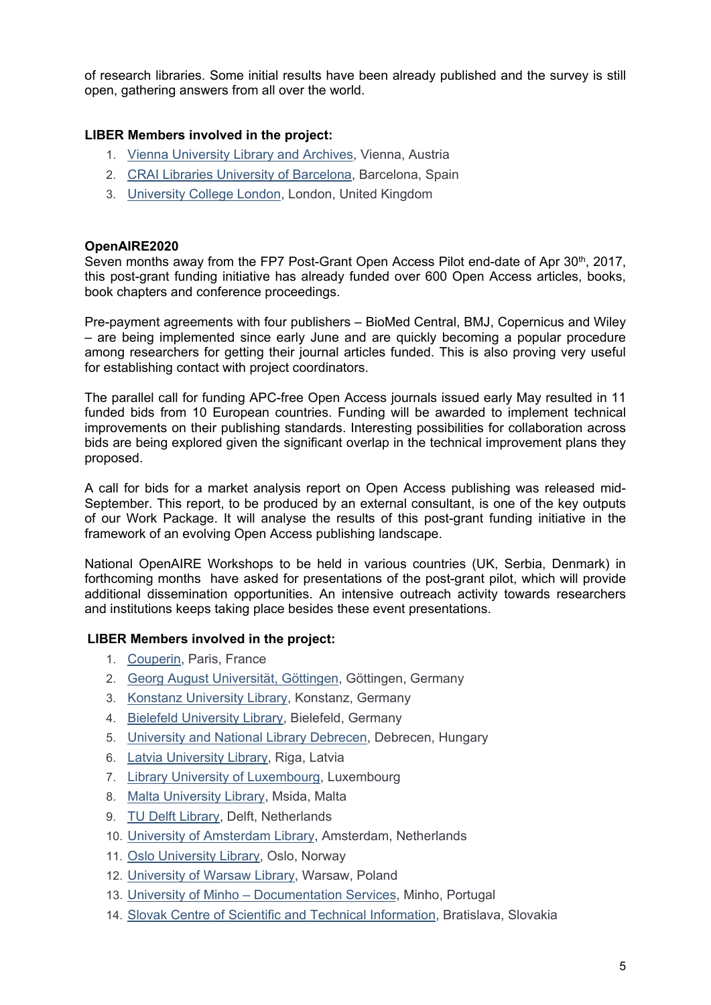of research libraries. Some initial results have been already published and the survey is still open, gathering answers from all over the world.

# **LIBER Members involved in the project:**

- 1. [Vienna University Library and Archives,](http://bibliothek.univie.ac.at/english/) Vienna, Austria
- 2. [CRAI Libraries University of Barcelona,](http://crai.ub.edu/en/about-crai/libraries) Barcelona, Spain
- 3. [University College London,](http://www.ucl.ac.uk/library) London, United Kingdom

## **OpenAIRE2020**

Seven months away from the FP7 Post-Grant Open Access Pilot end-date of Apr 30th, 2017, this post-grant funding initiative has already funded over 600 Open Access articles, books, book chapters and conference proceedings.

Pre-payment agreements with four publishers – BioMed Central, BMJ, Copernicus and Wiley – are being implemented since early June and are quickly becoming a popular procedure among researchers for getting their journal articles funded. This is also proving very useful for establishing contact with project coordinators.

The parallel call for funding APC-free Open Access journals issued early May resulted in 11 funded bids from 10 European countries. Funding will be awarded to implement technical improvements on their publishing standards. Interesting possibilities for collaboration across bids are being explored given the significant overlap in the technical improvement plans they proposed.

A call for bids for a market analysis report on Open Access publishing was released mid-September. This report, to be produced by an external consultant, is one of the key outputs of our Work Package. It will analyse the results of this post-grant funding initiative in the framework of an evolving Open Access publishing landscape.

National OpenAIRE Workshops to be held in various countries (UK, Serbia, Denmark) in forthcoming months have asked for presentations of the post-grant pilot, which will provide additional dissemination opportunities. An intensive outreach activity towards researchers and institutions keeps taking place besides these event presentations.

## **LIBER Members involved in the project:**

- 1. [Couperin,](http://www.couperin.org/) Paris, France
- 2. [Georg August Universität, Göttingen,](http://www.uni-goettingen.de/) Göttingen, Germany
- 3. [Konstanz University Library,](http://www.ub.uni-konstanz.de/en/welcome/) Konstanz, Germany
- 4. [Bielefeld University Library,](http://www.ub.uni-bielefeld.de/english/) Bielefeld, Germany
- 5. [University and National Library Debrecen,](http://www.unideb.hu/portal/en/node/1835) Debrecen, Hungary
- 6. [Latvia University Library,](http://www.lu.lv/eng/library/) Riga, Latvia
- 7. [Library University of Luxembourg,](http://wwwen.uni.lu/library) Luxembourg
- 8. [Malta University Library,](https://www.um.edu.mt/library) Msida, Malta
- 9. [TU Delft Library,](http://www.library.tudelft.nl/) Delft, Netherlands
- 10. [University of Amsterdam Library,](http://www.uva.nl/en/home) Amsterdam, Netherlands
- 11. [Oslo University Library,](http://www.ub.uio.no/english/) Oslo, Norway
- 12. [University of Warsaw Library,](http://www.buw.uw.edu.pl/en/) Warsaw, Poland
- 13. University of Minho [Documentation Services,](http://www.sdum.uminho.pt/) Minho, Portugal
- 14. [Slovak Centre of Scientific and Technical Information,](http://www.cvtisr.sk/en.html?page_id=58) Bratislava, Slovakia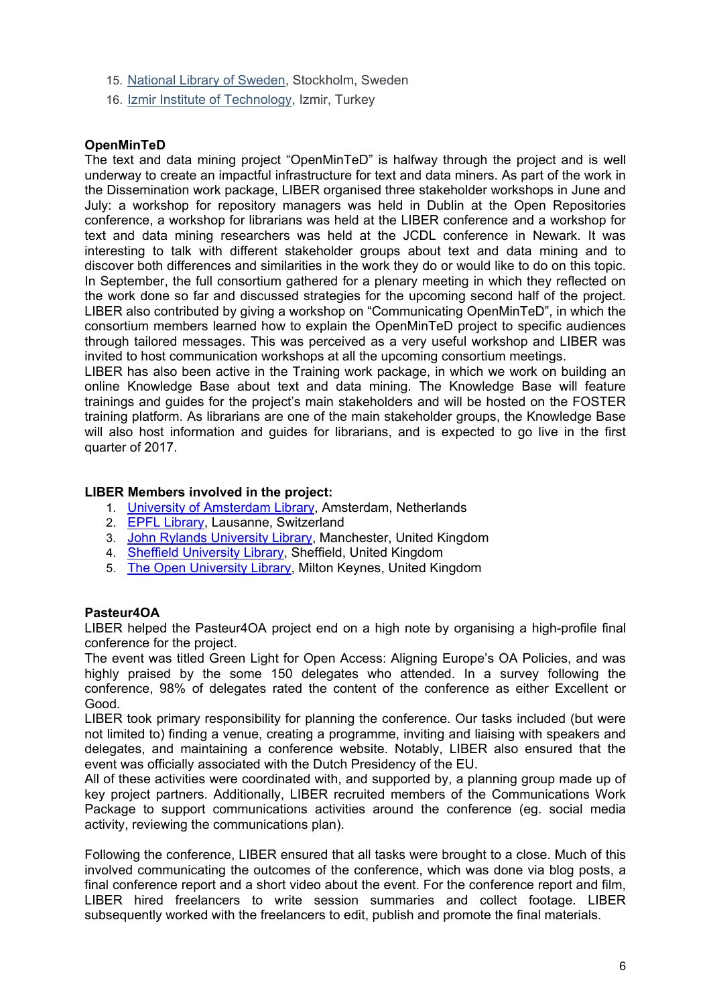- 15. [National Library of Sweden,](http://www.kb.se/english/) Stockholm, Sweden
- 16. [Izmir Institute of Technology,](http://www.iyte.edu.tr/AnaSayfa.aspx?d=ENG) Izmir, Turkey

# **OpenMinTeD**

The text and data mining project "OpenMinTeD" is halfway through the project and is well underway to create an impactful infrastructure for text and data miners. As part of the work in the Dissemination work package, LIBER organised three stakeholder workshops in June and July: a workshop for repository managers was held in Dublin at the Open Repositories conference, a workshop for librarians was held at the LIBER conference and a workshop for text and data mining researchers was held at the JCDL conference in Newark. It was interesting to talk with different stakeholder groups about text and data mining and to discover both differences and similarities in the work they do or would like to do on this topic. In September, the full consortium gathered for a plenary meeting in which they reflected on the work done so far and discussed strategies for the upcoming second half of the project. LIBER also contributed by giving a workshop on "Communicating OpenMinTeD", in which the consortium members learned how to explain the OpenMinTeD project to specific audiences through tailored messages. This was perceived as a very useful workshop and LIBER was invited to host communication workshops at all the upcoming consortium meetings.

LIBER has also been active in the Training work package, in which we work on building an online Knowledge Base about text and data mining. The Knowledge Base will feature trainings and guides for the project's main stakeholders and will be hosted on the FOSTER training platform. As librarians are one of the main stakeholder groups, the Knowledge Base will also host information and guides for librarians, and is expected to go live in the first quarter of 2017.

## **LIBER Members involved in the project:**

- 1. [University of Amsterdam Library,](http://www.uva.nl/en/home) Amsterdam, Netherlands
- 2. [EPFL Library,](http://library.epfl.ch/en) Lausanne, Switzerland
- 3. [John Rylands University Library,](http://www.library.manchester.ac.uk/rylands/) Manchester, United Kingdom
- 4. [Sheffield University Library,](https://www.sheffield.ac.uk/library) Sheffield, United Kingdom
- 5. [The Open University Library,](http://www.open.ac.uk/library/) Milton Keynes, United Kingdom

#### **Pasteur4OA**

LIBER helped the Pasteur4OA project end on a high note by organising a high-profile final conference for the project.

The event was titled Green Light for Open Access: Aligning Europe's OA Policies, and was highly praised by the some 150 delegates who attended. In a survey following the conference, 98% of delegates rated the content of the conference as either Excellent or Good.

LIBER took primary responsibility for planning the conference. Our tasks included (but were not limited to) finding a venue, creating a programme, inviting and liaising with speakers and delegates, and maintaining a conference website. Notably, LIBER also ensured that the event was officially associated with the Dutch Presidency of the EU.

All of these activities were coordinated with, and supported by, a planning group made up of key project partners. Additionally, LIBER recruited members of the Communications Work Package to support communications activities around the conference (eg. social media activity, reviewing the communications plan).

Following the conference, LIBER ensured that all tasks were brought to a close. Much of this involved communicating the outcomes of the conference, which was done via blog posts, a final conference report and a short video about the event. For the conference report and film, LIBER hired freelancers to write session summaries and collect footage. LIBER subsequently worked with the freelancers to edit, publish and promote the final materials.